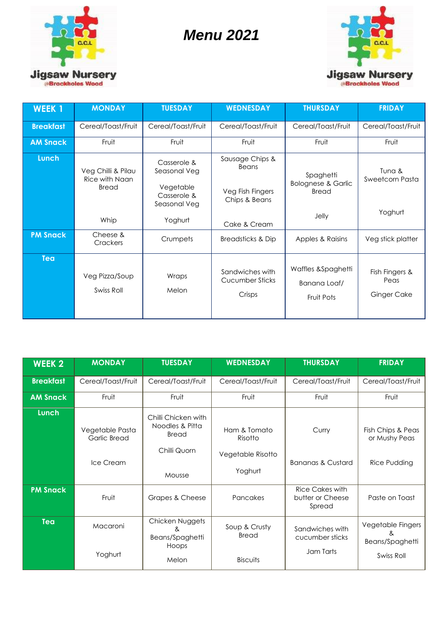

## *Menu 2021*



| <b>WEEK1</b>     | <b>MONDAY</b>                                 | <b>TUESDAY</b>                                                          | <b>WEDNESDAY</b>                                              | <b>THURSDAY</b>                                                     | <b>FRIDAY</b>                                |
|------------------|-----------------------------------------------|-------------------------------------------------------------------------|---------------------------------------------------------------|---------------------------------------------------------------------|----------------------------------------------|
| <b>Breakfast</b> | Cereal/Toast/Fruit                            | Cereal/Toast/Fruit                                                      | Cereal/Toast/Fruit                                            | Cereal/Toast/Fruit                                                  | Cereal/Toast/Fruit                           |
| <b>AM Snack</b>  | Fruit                                         | Fruit                                                                   | Fruit                                                         | Fruit                                                               | Fruit                                        |
| Lunch            | Veg Chilli & Pilau<br>Rice with Naan<br>Bread | Casserole &<br>Seasonal Veg<br>Vegetable<br>Casserole &<br>Seasonal Veg | Sausage Chips &<br>Beans<br>Veg Fish Fingers<br>Chips & Beans | Spaghetti<br><b>Bolognese &amp; Garlic</b><br><b>Bread</b><br>Jelly | Tuna &<br>Sweetcorn Pasta<br>Yoghurt         |
|                  | Whip                                          | Yoghurt                                                                 | Cake & Cream                                                  |                                                                     |                                              |
| <b>PM Snack</b>  | Cheese &<br><b>Crackers</b>                   | Crumpets                                                                | <b>Breadsticks &amp; Dip</b>                                  | Apples & Raisins                                                    | Veg stick platter                            |
| <b>Tea</b>       | Veg Pizza/Soup<br>Swiss Roll                  | Wraps<br>Melon                                                          | Sandwiches with<br>Cucumber Sticks<br>Crisps                  | Waffles &Spaghetti<br>Banana Loaf/<br>Fruit Pots                    | Fish Fingers &<br>Peas<br><b>Ginger Cake</b> |

| <b>WEEK 2</b>    | <b>MONDAY</b>                                | <b>TUESDAY</b>                                                            | <b>WEDNESDAY</b>                                        | <b>THURSDAY</b>                                 | <b>FRIDAY</b>                                           |
|------------------|----------------------------------------------|---------------------------------------------------------------------------|---------------------------------------------------------|-------------------------------------------------|---------------------------------------------------------|
| <b>Breakfast</b> | Cereal/Toast/Fruit                           | Cereal/Toast/Fruit                                                        | Cereal/Toast/Fruit                                      | Cereal/Toast/Fruit                              | Cereal/Toast/Fruit                                      |
| <b>AM Snack</b>  | Fruit                                        | Fruit                                                                     | Fruit                                                   | Fruit                                           | Fruit                                                   |
| Lunch            | Vegetable Pasta<br>Garlic Bread<br>Ice Cream | Chilli Chicken with<br>Noodles & Pitta<br>Bread<br>Chilli Quorn<br>Mousse | Ham & Tomato<br>Risotto<br>Vegetable Risotto<br>Yoghurt | Curry<br><b>Bananas &amp; Custard</b>           | Fish Chips & Peas<br>or Mushy Peas<br>Rice Pudding      |
| <b>PM Snack</b>  | Fruit                                        | Grapes & Cheese                                                           | Pancakes                                                | Rice Cakes with<br>butter or Cheese<br>Spread   | Paste on Toast                                          |
| <b>Tea</b>       | Macaroni<br>Yoghurt                          | Chicken Nuggets<br>&<br>Beans/Spaghetti<br>Hoops                          | Soup & Crusty<br>Bread                                  | Sandwiches with<br>cucumber sticks<br>Jam Tarts | Vegetable Fingers<br>&<br>Beans/Spaghetti<br>Swiss Roll |
|                  |                                              | Melon                                                                     | <b>Biscuits</b>                                         |                                                 |                                                         |